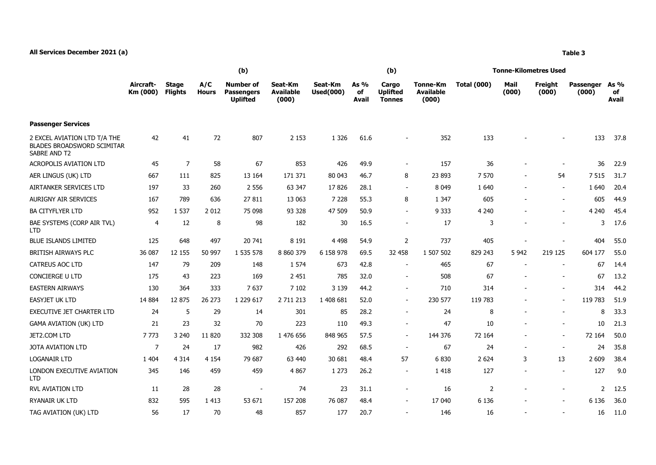## **All Services December 2021 (a) Table 3**

|                                                                                   | (b)                   |                                |                     |                                                          |                                      |                             |                     | (b)                                       |                                              | Tonne-Kilometres Used |               |                          |                           |                            |  |
|-----------------------------------------------------------------------------------|-----------------------|--------------------------------|---------------------|----------------------------------------------------------|--------------------------------------|-----------------------------|---------------------|-------------------------------------------|----------------------------------------------|-----------------------|---------------|--------------------------|---------------------------|----------------------------|--|
|                                                                                   | Aircraft-<br>Km (000) | <b>Stage</b><br><b>Flights</b> | A/C<br><b>Hours</b> | <b>Number of</b><br><b>Passengers</b><br><b>Uplifted</b> | Seat-Km<br><b>Available</b><br>(000) | Seat-Km<br><b>Used(000)</b> | As %<br>of<br>Avail | Cargo<br><b>Uplifted</b><br><b>Tonnes</b> | <b>Tonne-Km</b><br><b>Available</b><br>(000) | <b>Total (000)</b>    | Mail<br>(000) | Freight<br>(000)         | <b>Passenger</b><br>(000) | As %<br>of<br><b>Avail</b> |  |
| <b>Passenger Services</b>                                                         |                       |                                |                     |                                                          |                                      |                             |                     |                                           |                                              |                       |               |                          |                           |                            |  |
| 2 EXCEL AVIATION LTD T/A THE<br><b>BLADES BROADSWORD SCIMITAR</b><br>SABRE AND T2 | 42                    | 41                             | 72                  | 807                                                      | 2 1 5 3                              | 1 3 2 6                     | 61.6                |                                           | 352                                          | 133                   |               |                          | 133                       | 37.8                       |  |
| <b>ACROPOLIS AVIATION LTD</b>                                                     | 45                    | $\overline{7}$                 | 58                  | 67                                                       | 853                                  | 426                         | 49.9                | $\mathbf{r}$                              | 157                                          | 36                    |               | $\overline{\phantom{a}}$ | 36                        | 22.9                       |  |
| AER LINGUS (UK) LTD                                                               | 667                   | 111                            | 825                 | 13 164                                                   | 171 371                              | 80 043                      | 46.7                | 8                                         | 23 893                                       | 7 570                 |               | 54                       | 7515                      | 31.7                       |  |
| AIRTANKER SERVICES LTD                                                            | 197                   | 33                             | 260                 | 2 5 5 6                                                  | 63 347                               | 17826                       | 28.1                | $\sim$                                    | 8 0 4 9                                      | 1 6 4 0               |               | $\blacksquare$           | 1640                      | 20.4                       |  |
| <b>AURIGNY AIR SERVICES</b>                                                       | 167                   | 789                            | 636                 | 27 811                                                   | 13 063                               | 7 2 2 8                     | 55.3                | 8                                         | 1 3 4 7                                      | 605                   |               | $\overline{\phantom{a}}$ | 605                       | 44.9                       |  |
| <b>BA CITYFLYER LTD</b>                                                           | 952                   | 1 5 3 7                        | 2012                | 75 098                                                   | 93 328                               | 47 509                      | 50.9                | $\blacksquare$                            | 9 3 3 3                                      | 4 2 4 0               |               |                          | 4 2 4 0                   | 45.4                       |  |
| BAE SYSTEMS (CORP AIR TVL)<br><b>LTD</b>                                          | 4                     | 12                             | 8                   | 98                                                       | 182                                  | 30                          | 16.5                | $\blacksquare$                            | 17                                           | 3                     |               |                          | 3                         | 17.6                       |  |
| <b>BLUE ISLANDS LIMITED</b>                                                       | 125                   | 648                            | 497                 | 20 741                                                   | 8 1 9 1                              | 4 4 9 8                     | 54.9                | $\overline{2}$                            | 737                                          | 405                   |               |                          | 404                       | 55.0                       |  |
| BRITISH AIRWAYS PLC                                                               | 36 087                | 12 155                         | 50 997              | 1 535 578                                                | 8 8 6 0 3 7 9                        | 6 158 978                   | 69.5                | 32 458                                    | 1 507 502                                    | 829 243               | 5 9 42        | 219 125                  | 604 177                   | 55.0                       |  |
| CATREUS AOC LTD                                                                   | 147                   | 79                             | 209                 | 148                                                      | 1 5 7 4                              | 673                         | 42.8                | $\sim$                                    | 465                                          | 67                    |               |                          | 67                        | 14.4                       |  |
| CONCIERGE U LTD                                                                   | 175                   | 43                             | 223                 | 169                                                      | 2 4 5 1                              | 785                         | 32.0                | $\sim$                                    | 508                                          | 67                    |               |                          | 67                        | 13.2                       |  |
| <b>EASTERN AIRWAYS</b>                                                            | 130                   | 364                            | 333                 | 7637                                                     | 7 1 0 2                              | 3 1 3 9                     | 44.2                | $\overline{\phantom{a}}$                  | 710                                          | 314                   |               |                          | 314                       | 44.2                       |  |
| <b>EASYJET UK LTD</b>                                                             | 14 8 84               | 12 875                         | 26 273              | 1 229 617                                                | 2 711 213                            | 1 408 681                   | 52.0                | $\sim$                                    | 230 577                                      | 119 783               |               | $\overline{\phantom{a}}$ | 119 783                   | 51.9                       |  |
| EXECUTIVE JET CHARTER LTD                                                         | 24                    | 5                              | 29                  | 14                                                       | 301                                  | 85                          | 28.2                | $\blacksquare$                            | 24                                           | 8                     |               |                          | 8                         | 33.3                       |  |
| <b>GAMA AVIATION (UK) LTD</b>                                                     | 21                    | 23                             | 32                  | 70                                                       | 223                                  | 110                         | 49.3                | $\blacksquare$                            | 47                                           | 10                    |               | $\overline{\phantom{a}}$ | 10                        | 21.3                       |  |
| JET2.COM LTD                                                                      | 7773                  | 3 2 4 0                        | 11 8 20             | 332 308                                                  | 1 476 656                            | 848 965                     | 57.5                | $\blacksquare$                            | 144 376                                      | 72 164                |               | $\blacksquare$           | 72 164                    | 50.0                       |  |
| JOTA AVIATION LTD                                                                 | $\overline{7}$        | 24                             | 17                  | 982                                                      | 426                                  | 292                         | 68.5                | $\sim$                                    | 67                                           | 24                    |               | $\blacksquare$           | 24                        | 35.8                       |  |
| <b>LOGANAIR LTD</b>                                                               | 1 4 0 4               | 4 3 1 4                        | 4 1 5 4             | 79 687                                                   | 63 440                               | 30 681                      | 48.4                | 57                                        | 6830                                         | 2 6 2 4               | 3             | 13                       | 2 6 0 9                   | 38.4                       |  |
| LONDON EXECUTIVE AVIATION<br><b>LTD</b>                                           | 345                   | 146                            | 459                 | 459                                                      | 4 8 6 7                              | 1 2 7 3                     | 26.2                | $\overline{\phantom{a}}$                  | 1418                                         | 127                   |               | $\overline{\phantom{a}}$ | 127                       | 9.0                        |  |
| RVL AVIATION LTD                                                                  | 11                    | 28                             | 28                  |                                                          | 74                                   | 23                          | 31.1                | $\blacksquare$                            | 16                                           | 2                     |               | $\blacksquare$           | 2                         | 12.5                       |  |
| RYANAIR UK LTD                                                                    | 832                   | 595                            | 1 4 1 3             | 53 671                                                   | 157 208                              | 76 087                      | 48.4                | $\blacksquare$                            | 17 040                                       | 6 1 3 6               |               |                          | 6 1 3 6                   | 36.0                       |  |
| TAG AVIATION (UK) LTD                                                             | 56                    | 17                             | 70                  | 48                                                       | 857                                  | 177                         | 20.7                |                                           | 146                                          | 16                    |               |                          | 16                        | 11.0                       |  |